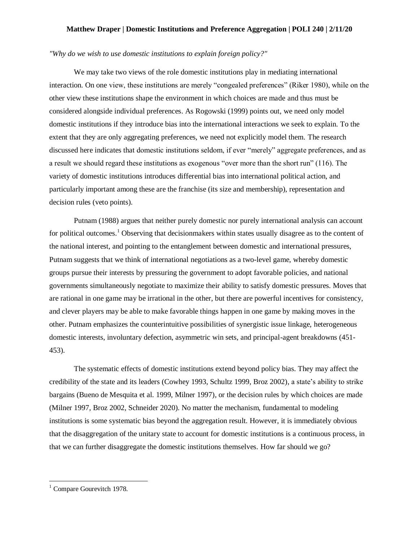## **Matthew Draper | Domestic Institutions and Preference Aggregation | POLI 240 | 2/11/20**

## *"Why do we wish to use domestic institutions to explain foreign policy?"*

We may take two views of the role domestic institutions play in mediating international interaction. On one view, these institutions are merely "congealed preferences" (Riker 1980), while on the other view these institutions shape the environment in which choices are made and thus must be considered alongside individual preferences. As Rogowski (1999) points out, we need only model domestic institutions if they introduce bias into the international interactions we seek to explain. To the extent that they are only aggregating preferences, we need not explicitly model them. The research discussed here indicates that domestic institutions seldom, if ever "merely" aggregate preferences, and as a result we should regard these institutions as exogenous "over more than the short run" (116). The variety of domestic institutions introduces differential bias into international political action, and particularly important among these are the franchise (its size and membership), representation and decision rules (veto points).

Putnam (1988) argues that neither purely domestic nor purely international analysis can account for political outcomes.<sup>1</sup> Observing that decisionmakers within states usually disagree as to the content of the national interest, and pointing to the entanglement between domestic and international pressures, Putnam suggests that we think of international negotiations as a two-level game, whereby domestic groups pursue their interests by pressuring the government to adopt favorable policies, and national governments simultaneously negotiate to maximize their ability to satisfy domestic pressures. Moves that are rational in one game may be irrational in the other, but there are powerful incentives for consistency, and clever players may be able to make favorable things happen in one game by making moves in the other. Putnam emphasizes the counterintuitive possibilities of synergistic issue linkage, heterogeneous domestic interests, involuntary defection, asymmetric win sets, and principal-agent breakdowns (451- 453).

The systematic effects of domestic institutions extend beyond policy bias. They may affect the credibility of the state and its leaders (Cowhey 1993, Schultz 1999, Broz 2002), a state's ability to strike bargains (Bueno de Mesquita et al. 1999, Milner 1997), or the decision rules by which choices are made (Milner 1997, Broz 2002, Schneider 2020). No matter the mechanism, fundamental to modeling institutions is some systematic bias beyond the aggregation result. However, it is immediately obvious that the disaggregation of the unitary state to account for domestic institutions is a continuous process, in that we can further disaggregate the domestic institutions themselves. How far should we go?

 $\overline{\phantom{a}}$ 

 $<sup>1</sup>$  Compare Gourevitch 1978.</sup>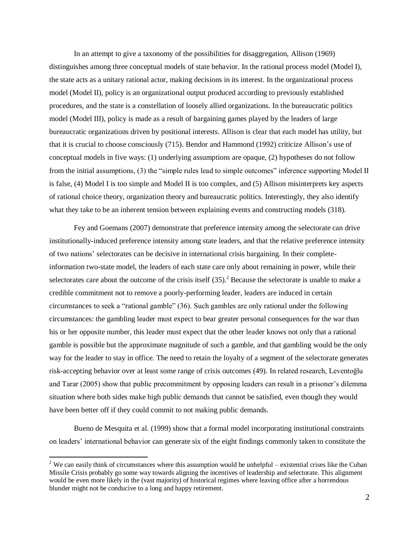In an attempt to give a taxonomy of the possibilities for disaggregation, Allison (1969) distinguishes among three conceptual models of state behavior. In the rational process model (Model I), the state acts as a unitary rational actor, making decisions in its interest. In the organizational process model (Model II), policy is an organizational output produced according to previously established procedures, and the state is a constellation of loosely allied organizations. In the bureaucratic politics model (Model III), policy is made as a result of bargaining games played by the leaders of large bureaucratic organizations driven by positional interests. Allison is clear that each model has utility, but that it is crucial to choose consciously (715). Bendor and Hammond (1992) criticize Allison's use of conceptual models in five ways: (1) underlying assumptions are opaque, (2) hypotheses do not follow from the initial assumptions, (3) the "simple rules lead to simple outcomes" inference supporting Model II is false, (4) Model I is too simple and Model II is too complex, and (5) Allison misinterprets key aspects of rational choice theory, organization theory and bureaucratic politics. Interestingly, they also identify what they take to be an inherent tension between explaining events and constructing models (318).

Fey and Goemans (2007) demonstrate that preference intensity among the selectorate can drive institutionally-induced preference intensity among state leaders, and that the relative preference intensity of two nations' selectorates can be decisive in international crisis bargaining. In their completeinformation two-state model, the leaders of each state care only about remaining in power, while their selectorates care about the outcome of the crisis itself  $(35)$ .<sup>2</sup> Because the selectorate is unable to make a credible commitment not to remove a poorly-performing leader, leaders are induced in certain circumstances to seek a "rational gamble" (36). Such gambles are only rational under the following circumstances: the gambling leader must expect to bear greater personal consequences for the war than his or her opposite number, this leader must expect that the other leader knows not only that a rational gamble is possible but the approximate magnitude of such a gamble, and that gambling would be the only way for the leader to stay in office. The need to retain the loyalty of a segment of the selectorate generates risk-accepting behavior over at least some range of crisis outcomes (49). In related research, Leventoğlu and Tarar (2005) show that public precommitment by opposing leaders can result in a prisoner's dilemma situation where both sides make high public demands that cannot be satisfied, even though they would have been better off if they could commit to not making public demands.

Bueno de Mesquita et al. (1999) show that a formal model incorporating institutional constraints on leaders' international behavior can generate six of the eight findings commonly taken to constitute the

 $\overline{a}$ 

<sup>&</sup>lt;sup>2</sup> We can easily think of circumstances where this assumption would be unhelpful – existential crises like the Cuban Missile Crisis probably go some way towards aligning the incentives of leadership and selectorate. This alignment would be even more likely in the (vast majority) of historical regimes where leaving office after a horrendous blunder might not be conducive to a long and happy retirement.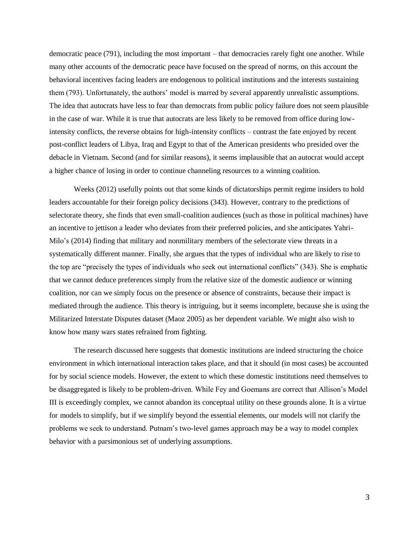democratic peace (791), including the most important – that democracies rarely fight one another. While many other accounts of the democratic peace have focused on the spread of norms, on this account the behavioral incentives facing leaders are endogenous to political institutions and the interests sustaining them (793). Unfortunately, the authors' model is marred by several apparently unrealistic assumptions. The idea that autocrats have less to fear than democrats from public policy failure does not seem plausible in the case of war. While it is true that autocrats are less likely to be removed from office during lowintensity conflicts, the reverse obtains for high-intensity conflicts – contrast the fate enjoyed by recent post-conflict leaders of Libya, Iraq and Egypt to that of the American presidents who presided over the debacle in Vietnam. Second (and for similar reasons), it seems implausible that an autocrat would accept a higher chance of losing in order to continue channeling resources to a winning coalition.

Weeks (2012) usefully points out that some kinds of dictatorships permit regime insiders to hold leaders accountable for their foreign policy decisions (343). However, contrary to the predictions of selectorate theory, she finds that even small-coalition audiences (such as those in political machines) have an incentive to jettison a leader who deviates from their preferred policies, and she anticipates Yahri-Milo's (2014) finding that military and nonmilitary members of the selectorate view threats in a systematically different manner. Finally, she argues that the types of individual who are likely to rise to the top are "precisely the types of individuals who seek out international conflicts" (343). She is emphatic that we cannot deduce preferences simply from the relative size of the domestic audience or winning coalition, nor can we simply focus on the presence or absence of constraints, because their impact is mediated through the audience. This theory is intriguing, but it seems incomplete, because she is using the Militarized Interstate Disputes dataset (Maoz 2005) as her dependent variable. We might also wish to know how many wars states refrained from fighting.

The research discussed here suggests that domestic institutions are indeed structuring the choice environment in which international interaction takes place, and that it should (in most cases) be accounted for by social science models. However, the extent to which these domestic institutions need themselves to be disaggregated is likely to be problem-driven. While Fey and Goemans are correct that Allison's Model III is exceedingly complex, we cannot abandon its conceptual utility on these grounds alone. It is a virtue for models to simplify, but if we simplify beyond the essential elements, our models will not clarify the problems we seek to understand. Putnam's two-level games approach may be a way to model complex behavior with a parsimonious set of underlying assumptions.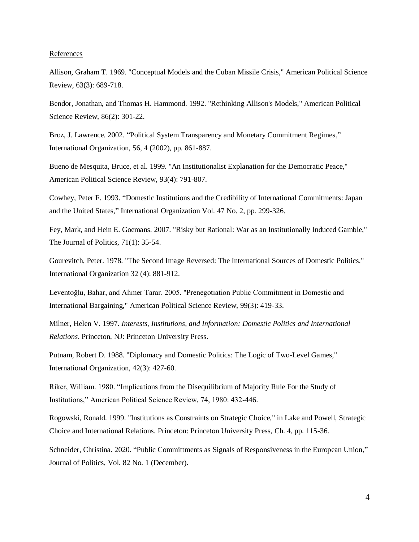## References

Allison, Graham T. 1969. "Conceptual Models and the Cuban Missile Crisis," American Political Science Review, 63(3): 689-718.

Bendor, Jonathan, and Thomas H. Hammond. 1992. "Rethinking Allison's Models," American Political Science Review, 86(2): 301-22.

Broz, J. Lawrence. 2002. "Political System Transparency and Monetary Commitment Regimes," International Organization, 56, 4 (2002), pp. 861-887.

Bueno de Mesquita, Bruce, et al. 1999. "An Institutionalist Explanation for the Democratic Peace," American Political Science Review, 93(4): 791-807.

Cowhey, Peter F. 1993. "Domestic Institutions and the Credibility of International Commitments: Japan and the United States," International Organization Vol. 47 No. 2, pp. 299-326.

Fey, Mark, and Hein E. Goemans. 2007. "Risky but Rational: War as an Institutionally Induced Gamble," The Journal of Politics, 71(1): 35-54.

Gourevitch, Peter. 1978. "The Second Image Reversed: The International Sources of Domestic Politics." International Organization 32 (4): 881-912.

Leventoğlu, Bahar, and Ahmer Tarar. 2005. "Prenegotiation Public Commitment in Domestic and International Bargaining," American Political Science Review, 99(3): 419-33.

Milner, Helen V. 1997. *Interests, Institutions, and Information: Domestic Politics and International Relations*. Princeton, NJ: Princeton University Press.

Putnam, Robert D. 1988. "Diplomacy and Domestic Politics: The Logic of Two-Level Games," International Organization, 42(3): 427-60.

Riker, William. 1980. "Implications from the Disequilibrium of Majority Rule For the Study of Institutions," American Political Science Review, 74, 1980: 432-446.

Rogowski, Ronald. 1999. "Institutions as Constraints on Strategic Choice," in Lake and Powell, Strategic Choice and International Relations. Princeton: Princeton University Press, Ch. 4, pp. 115-36.

Schneider, Christina. 2020. "Public Committments as Signals of Responsiveness in the European Union," Journal of Politics, Vol. 82 No. 1 (December).